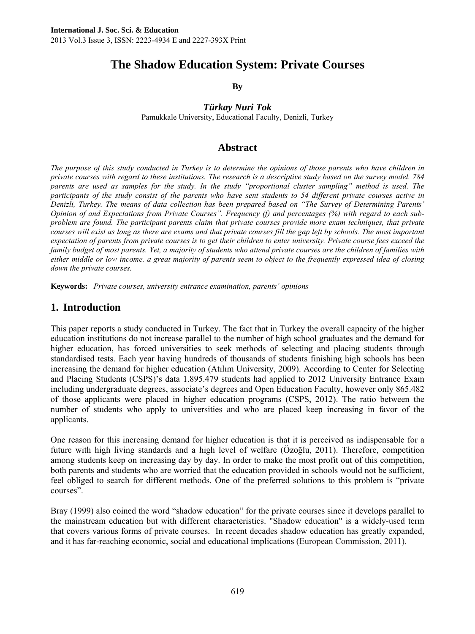# **The Shadow Education System: Private Courses**

**By** 

*Türkay Nuri Tok* 

Pamukkale University, Educational Faculty, Denizli, Turkey

### **Abstract**

*The purpose of this study conducted in Turkey is to determine the opinions of those parents who have children in private courses with regard to these institutions. The research is a descriptive study based on the survey model. 784 parents are used as samples for the study. In the study "proportional cluster sampling" method is used. The participants of the study consist of the parents who have sent students to 54 different private courses active in Denizli, Turkey. The means of data collection has been prepared based on "The Survey of Determining Parents' Opinion of and Expectations from Private Courses". Frequency (f) and percentages (%) with regard to each subproblem are found. The participant parents claim that private courses provide more exam techniques, that private courses will exist as long as there are exams and that private courses fill the gap left by schools. The most important expectation of parents from private courses is to get their children to enter university. Private course fees exceed the family budget of most parents. Yet, a majority of students who attend private courses are the children of families with either middle or low income. a great majority of parents seem to object to the frequently expressed idea of closing down the private courses.* 

**Keywords:** *Private courses, university entrance examination, parents' opinions* 

### **1. Introduction**

This paper reports a study conducted in Turkey. The fact that in Turkey the overall capacity of the higher education institutions do not increase parallel to the number of high school graduates and the demand for higher education, has forced universities to seek methods of selecting and placing students through standardised tests. Each year having hundreds of thousands of students finishing high schools has been increasing the demand for higher education (Atılım University, 2009). According to Center for Selecting and Placing Students (CSPS)'s data 1.895.479 students had applied to 2012 University Entrance Exam including undergraduate degrees, associate's degrees and Open Education Faculty, however only 865.482 of those applicants were placed in higher education programs (CSPS, 2012). The ratio between the number of students who apply to universities and who are placed keep increasing in favor of the applicants.

One reason for this increasing demand for higher education is that it is perceived as indispensable for a future with high living standards and a high level of welfare (Özoğlu, 2011). Therefore, competition among students keep on increasing day by day. In order to make the most profit out of this competition, both parents and students who are worried that the education provided in schools would not be sufficient, feel obliged to search for different methods. One of the preferred solutions to this problem is "private courses".

Bray (1999) also coined the word "shadow education" for the private courses since it develops parallel to the mainstream education but with different characteristics. "Shadow education" is a widely-used term that covers various forms of private courses. In recent decades shadow education has greatly expanded, and it has far-reaching economic, social and educational implications (European Commission, 2011).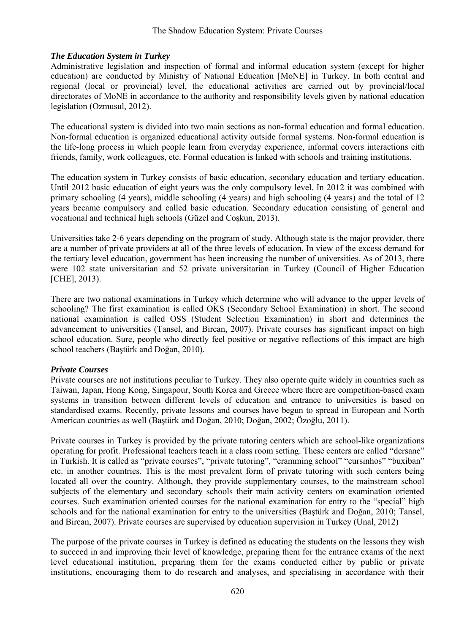#### *The Education System in Turkey*

Administrative legislation and inspection of formal and informal education system (except for higher education) are conducted by Ministry of National Education [MoNE] in Turkey. In both central and regional (local or provincial) level, the educational activities are carried out by provincial/local directorates of MoNE in accordance to the authority and responsibility levels given by national education legislation (Ozmusul, 2012).

The educational system is divided into two main sections as non-formal education and formal education. Non-formal education is organized educational activity outside formal systems. Non-formal education is the life-long process in which people learn from everyday experience, informal covers interactions eith friends, family, work colleagues, etc. Formal education is linked with schools and training institutions.

The education system in Turkey consists of basic education, secondary education and tertiary education. Until 2012 basic education of eight years was the only compulsory level. In 2012 it was combined with primary schooling (4 years), middle schooling (4 years) and high schooling (4 years) and the total of 12 years became compulsory and called basic education. Secondary education consisting of general and vocational and technical high schools (Güzel and Coşkun, 2013).

Universities take 2-6 years depending on the program of study. Although state is the major provider, there are a number of private providers at all of the three levels of education. In view of the excess demand for the tertiary level education, government has been increasing the number of universities. As of 2013, there were 102 state universitarian and 52 private universitarian in Turkey (Council of Higher Education [CHE], 2013).

There are two national examinations in Turkey which determine who will advance to the upper levels of schooling? The first examination is called OKS (Secondary School Examination) in short. The second national examination is called OSS (Student Selection Examination) in short and determines the advancement to universities (Tansel, and Bircan, 2007). Private courses has significant impact on high school education. Sure, people who directly feel positive or negative reflections of this impact are high school teachers (Baştürk and Doğan, 2010).

#### *Private Courses*

Private courses are not institutions peculiar to Turkey. They also operate quite widely in countries such as Taiwan, Japan, Hong Kong, Singapour, South Korea and Greece where there are competition-based exam systems in transition between different levels of education and entrance to universities is based on standardised exams. Recently, private lessons and courses have begun to spread in European and North American countries as well (Baştürk and Doğan, 2010; Doğan, 2002; Özoğlu, 2011).

Private courses in Turkey is provided by the private tutoring centers which are school-like organizations operating for profit. Professional teachers teach in a class room setting. These centers are called "dersane" in Turkish. It is called as "private courses", "private tutoring", "cramming school" "cursinhos" "buxiban" etc. in another countries. This is the most prevalent form of private tutoring with such centers being located all over the country. Although, they provide supplementary courses, to the mainstream school subjects of the elementary and secondary schools their main activity centers on examination oriented courses. Such examination oriented courses for the national examination for entry to the "special" high schools and for the national examination for entry to the universities (Baştürk and Doğan, 2010; Tansel, and Bircan, 2007). Private courses are supervised by education supervision in Turkey (Unal, 2012)

The purpose of the private courses in Turkey is defined as educating the students on the lessons they wish to succeed in and improving their level of knowledge, preparing them for the entrance exams of the next level educational institution, preparing them for the exams conducted either by public or private institutions, encouraging them to do research and analyses, and specialising in accordance with their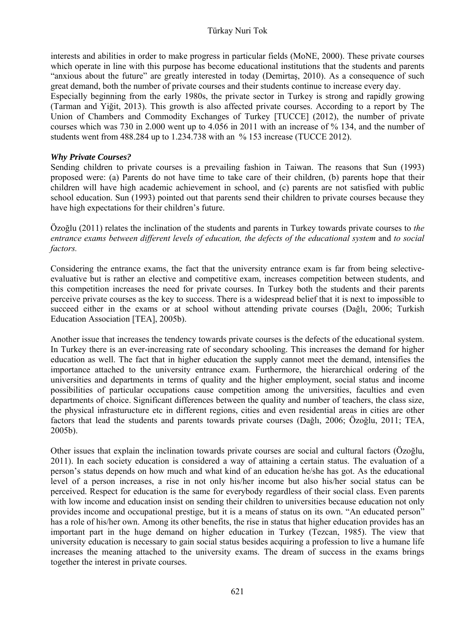interests and abilities in order to make progress in particular fields (MoNE, 2000). These private courses which operate in line with this purpose has become educational institutions that the students and parents "anxious about the future" are greatly interested in today (Demirtaş, 2010). As a consequence of such great demand, both the number of private courses and their students continue to increase every day.

Especially beginning from the early 1980s, the private sector in Turkey is strong and rapidly growing (Tarman and Yiğit, 2013). This growth is also affected private courses. According to a report by The Union of Chambers and Commodity Exchanges of Turkey [TUCCE] (2012), the number of private courses which was 730 in 2.000 went up to 4.056 in 2011 with an increase of % 134, and the number of students went from 488.284 up to 1.234.738 with an % 153 increase (TUCCE 2012).

### *Why Private Courses?*

Sending children to private courses is a prevailing fashion in Taiwan. The reasons that Sun (1993) proposed were: (a) Parents do not have time to take care of their children, (b) parents hope that their children will have high academic achievement in school, and (c) parents are not satisfied with public school education. Sun (1993) pointed out that parents send their children to private courses because they have high expectations for their children's future.

Özoğlu (2011) relates the inclination of the students and parents in Turkey towards private courses to *the entrance exams between different levels of education, the defects of the educational system* and *to social factors.* 

Considering the entrance exams, the fact that the university entrance exam is far from being selectiveevaluative but is rather an elective and competitive exam, increases competition between students, and this competition increases the need for private courses. In Turkey both the students and their parents perceive private courses as the key to success. There is a widespread belief that it is next to impossible to succeed either in the exams or at school without attending private courses (Dağlı, 2006; Turkish Education Association [TEA], 2005b).

Another issue that increases the tendency towards private courses is the defects of the educational system. In Turkey there is an ever-increasing rate of secondary schooling. This increases the demand for higher education as well. The fact that in higher education the supply cannot meet the demand, intensifies the importance attached to the university entrance exam. Furthermore, the hierarchical ordering of the universities and departments in terms of quality and the higher employment, social status and income possibilities of particular occupations cause competition among the universities, faculties and even departments of choice. Significant differences between the quality and number of teachers, the class size, the physical infrasturucture etc in different regions, cities and even residential areas in cities are other factors that lead the students and parents towards private courses (Dağlı, 2006; Özoğlu, 2011; TEA, 2005b).

Other issues that explain the inclination towards private courses are social and cultural factors (Özoğlu, 2011). In each society education is considered a way of attaining a certain status. The evaluation of a person's status depends on how much and what kind of an education he/she has got. As the educational level of a person increases, a rise in not only his/her income but also his/her social status can be perceived. Respect for education is the same for everybody regardless of their social class. Even parents with low income and education insist on sending their children to universities because education not only provides income and occupational prestige, but it is a means of status on its own. "An educated person" has a role of his/her own. Among its other benefits, the rise in status that higher education provides has an important part in the huge demand on higher education in Turkey (Tezcan, 1985). The view that university education is necessary to gain social status besides acquiring a profession to live a humane life increases the meaning attached to the university exams. The dream of success in the exams brings together the interest in private courses.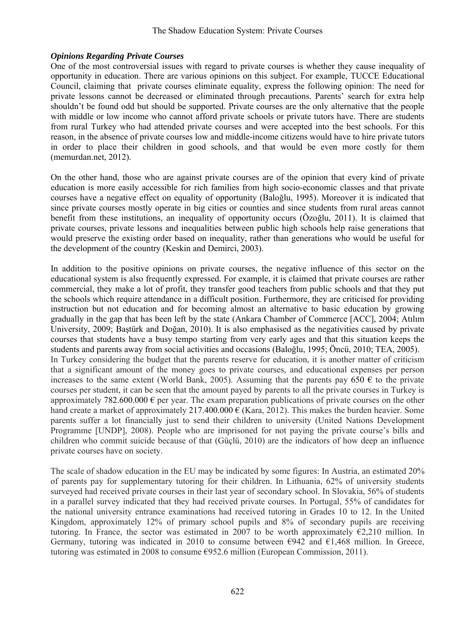#### *Opinions Regarding Private Courses*

One of the most controversial issues with regard to private courses is whether they cause inequality of opportunity in education. There are various opinions on this subject. For example, TUCCE Educational Council, claiming that private courses eliminate equality, express the following opinion: The need for private lessons cannot be decreased or eliminated through precautions. Parents' search for extra help shouldn't be found odd but should be supported. Private courses are the only alternative that the people with middle or low income who cannot afford private schools or private tutors have. There are students from rural Turkey who had attended private courses and were accepted into the best schools. For this reason, in the absence of private courses low and middle-income citizens would have to hire private tutors in order to place their children in good schools, and that would be even more costly for them (memurdan.net, 2012).

On the other hand, those who are against private courses are of the opinion that every kind of private education is more easily accessible for rich families from high socio-economic classes and that private courses have a negative effect on equality of opportunity (Baloğlu, 1995). Moreover it is indicated that since private courses mostly operate in big cities or counties and since students from rural areas cannot benefit from these institutions, an inequality of opportunity occurs (Özoğlu, 2011). It is claimed that private courses, private lessons and inequalities between public high schools help raise generations that would preserve the existing order based on inequality, rather than generations who would be useful for the development of the country (Keskin and Demirci, 2003).

In addition to the positive opinions on private courses, the negative influence of this sector on the educational system is also frequently expressed. For example, it is claimed that private courses are rather commercial, they make a lot of profit, they transfer good teachers from public schools and that they put the schools which require attendance in a difficult position. Furthermore, they are criticised for providing instruction but not education and for becoming almost an alternative to basic education by growing gradually in the gap that has been left by the state (Ankara Chamber of Commerce [ACC], 2004; Atılım University, 2009; Baştürk and Doğan, 2010). It is also emphasised as the negativities caused by private courses that students have a busy tempo starting from very early ages and that this situation keeps the students and parents away from social activities and occasions (Baloğlu, 1995; Öncü, 2010; TEA, 2005). In Turkey considering the budget that the parents reserve for education, it is another matter of criticism that a significant amount of the money goes to private courses, and educational expenses per person increases to the same extent (World Bank, 2005). Assuming that the parents pay 650  $\epsilon$  to the private courses per student, it can be seen that the amount payed by parents to all the private courses in Turkey is approximately 782.600.000  $\epsilon$  per year. The exam preparation publications of private courses on the other hand create a market of approximately 217.400.000  $\epsilon$  (Kara, 2012). This makes the burden heavier. Some parents suffer a lot financially just to send their children to university (United Nations Development Programme [UNDP], 2008). People who are imprisoned for not paying the private course's bills and children who commit suicide because of that (Güçlü, 2010) are the indicators of how deep an influence private courses have on society.

The scale of shadow education in the EU may be indicated by some figures: In Austria, an estimated 20% of parents pay for supplementary tutoring for their children. In Lithuania, 62% of university students surveyed had received private courses in their last year of secondary school. In Slovakia, 56% of students in a parallel survey indicated that they had received private courses. In Portugal, 55% of candidates for the national university entrance examinations had received tutoring in Grades 10 to 12. In the United Kingdom, approximately 12% of primary school pupils and 8% of secondary pupils are receiving tutoring. In France, the sector was estimated in 2007 to be worth approximately  $\epsilon$ 2,210 million. In Germany, tutoring was indicated in 2010 to consume between  $\epsilon$ 942 and  $\epsilon$ 1,468 million. In Greece, tutoring was estimated in 2008 to consume  $\epsilon$ 952.6 million (European Commission, 2011).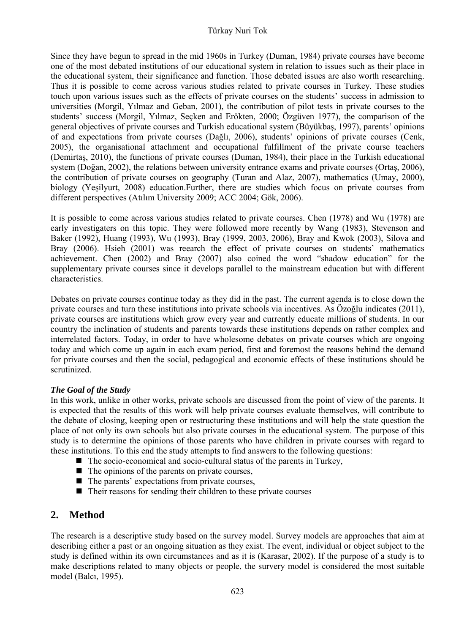Since they have begun to spread in the mid 1960s in Turkey (Duman, 1984) private courses have become one of the most debated institutions of our educational system in relation to issues such as their place in the educational system, their significance and function. Those debated issues are also worth researching. Thus it is possible to come across various studies related to private courses in Turkey. These studies touch upon various issues such as the effects of private courses on the students' success in admission to universities (Morgil, Yılmaz and Geban, 2001), the contribution of pilot tests in private courses to the students' success (Morgil, Yılmaz, Seçken and Erökten, 2000; Özgüven 1977), the comparison of the general objectives of private courses and Turkish educational system (Büyükbaş, 1997), parents' opinions of and expectations from private courses (Dağlı, 2006), students' opinions of private courses (Cenk, 2005), the organisational attachment and occupational fulfillment of the private course teachers (Demirtaş, 2010), the functions of private courses (Duman, 1984), their place in the Turkish educational system (Doğan, 2002), the relations between university entrance exams and private courses (Ortaş, 2006), the contribution of private courses on geography (Turan and Alaz, 2007), mathematics (Umay, 2000), biology (Yeşilyurt, 2008) education.Further, there are studies which focus on private courses from different perspectives (Atılım University 2009; ACC 2004; Gök, 2006).

It is possible to come across various studies related to private courses. Chen (1978) and Wu (1978) are early investigaters on this topic. They were followed more recently by Wang (1983), Stevenson and Baker (1992), Huang (1993), Wu (1993), Bray (1999, 2003, 2006), Bray and Kwok (2003), Silova and Bray (2006). Hsieh (2001) was reearch the effect of private courses on students' mathematics achievement. Chen (2002) and Bray (2007) also coined the word "shadow education" for the supplementary private courses since it develops parallel to the mainstream education but with different characteristics.

Debates on private courses continue today as they did in the past. The current agenda is to close down the private courses and turn these institutions into private schools via incentives. As Özoğlu indicates (2011), private courses are institutions which grow every year and currently educate millions of students. In our country the inclination of students and parents towards these institutions depends on rather complex and interrelated factors. Today, in order to have wholesome debates on private courses which are ongoing today and which come up again in each exam period, first and foremost the reasons behind the demand for private courses and then the social, pedagogical and economic effects of these institutions should be scrutinized.

### *The Goal of the Study*

In this work, unlike in other works, private schools are discussed from the point of view of the parents. It is expected that the results of this work will help private courses evaluate themselves, will contribute to the debate of closing, keeping open or restructuring these institutions and will help the state question the place of not only its own schools but also private courses in the educational system. The purpose of this study is to determine the opinions of those parents who have children in private courses with regard to these institutions. To this end the study attempts to find answers to the following questions:

- $\blacksquare$  The socio-economical and socio-cultural status of the parents in Turkey,
- $\blacksquare$  The opinions of the parents on private courses,
- $\blacksquare$  The parents' expectations from private courses,
- Their reasons for sending their children to these private courses

### **2. Method**

The research is a descriptive study based on the survey model. Survey models are approaches that aim at describing either a past or an ongoing situation as they exist. The event, individual or object subject to the study is defined within its own circumstances and as it is (Karasar, 2002). If the purpose of a study is to make descriptions related to many objects or people, the survery model is considered the most suitable model (Balcı, 1995).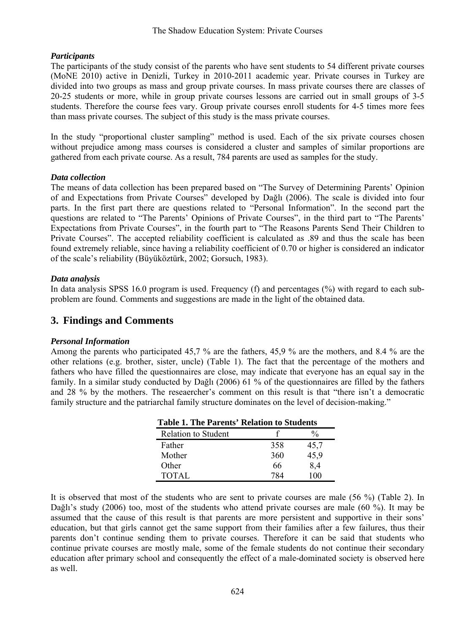### *Participants*

The participants of the study consist of the parents who have sent students to 54 different private courses (MoNE 2010) active in Denizli, Turkey in 2010-2011 academic year. Private courses in Turkey are divided into two groups as mass and group private courses. In mass private courses there are classes of 20-25 students or more, while in group private courses lessons are carried out in small groups of 3-5 students. Therefore the course fees vary. Group private courses enroll students for 4-5 times more fees than mass private courses. The subject of this study is the mass private courses.

In the study "proportional cluster sampling" method is used. Each of the six private courses chosen without prejudice among mass courses is considered a cluster and samples of similar proportions are gathered from each private course. As a result, 784 parents are used as samples for the study.

### *Data collection*

The means of data collection has been prepared based on "The Survey of Determining Parents' Opinion of and Expectations from Private Courses" developed by Dağlı (2006). The scale is divided into four parts. In the first part there are questions related to "Personal Information". In the second part the questions are related to "The Parents' Opinions of Private Courses", in the third part to "The Parents' Expectations from Private Courses", in the fourth part to "The Reasons Parents Send Their Children to Private Courses". The accepted reliability coefficient is calculated as .89 and thus the scale has been found extremely reliable, since having a reliability coefficient of 0.70 or higher is considered an indicator of the scale's reliability (Büyüköztürk, 2002; Gorsuch, 1983).

### *Data analysis*

In data analysis SPSS 16.0 program is used. Frequency (f) and percentages (%) with regard to each subproblem are found. Comments and suggestions are made in the light of the obtained data.

## **3. Findings and Comments**

### *Personal Information*

Among the parents who participated 45,7 % are the fathers, 45,9 % are the mothers, and 8.4 % are the other relations (e.g. brother, sister, uncle) (Table 1). The fact that the percentage of the mothers and fathers who have filled the questionnaires are close, may indicate that everyone has an equal say in the family. In a similar study conducted by Dağlı (2006) 61 % of the questionnaires are filled by the fathers and 28 % by the mothers. The reseaercher's comment on this result is that "there isn't a democratic family structure and the patriarchal family structure dominates on the level of decision-making."

| <b>Table 1. The Parents' Relation to Students</b> |     |      |  |
|---------------------------------------------------|-----|------|--|
| <b>Relation to Student</b>                        |     | %    |  |
| Father                                            | 358 | 45,7 |  |
| Mother                                            | 360 | 45,9 |  |
| Other                                             | 66  | 8,4  |  |
| TOTAL                                             | 784 | 100  |  |

It is observed that most of the students who are sent to private courses are male (56 %) (Table 2). In Dağlı's study (2006) too, most of the students who attend private courses are male (60 %). It may be assumed that the cause of this result is that parents are more persistent and supportive in their sons' education, but that girls cannot get the same support from their families after a few failures, thus their parents don't continue sending them to private courses. Therefore it can be said that students who continue private courses are mostly male, some of the female students do not continue their secondary education after primary school and consequently the effect of a male-dominated society is observed here as well.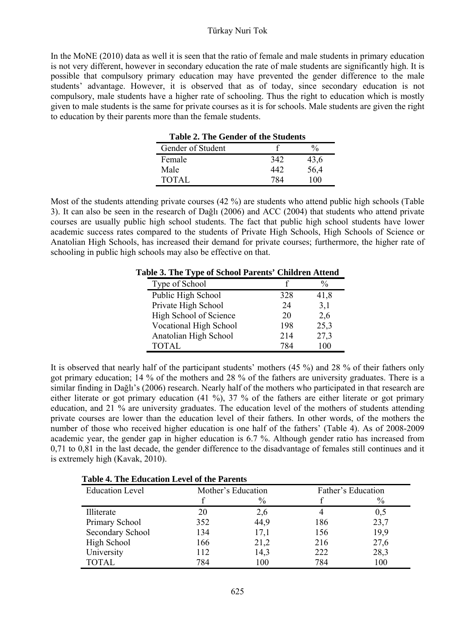In the MoNE (2010) data as well it is seen that the ratio of female and male students in primary education is not very different, however in secondary education the rate of male students are significantly high. It is possible that compulsory primary education may have prevented the gender difference to the male students' advantage. However, it is observed that as of today, since secondary education is not compulsory, male students have a higher rate of schooling. Thus the right to education which is mostly given to male students is the same for private courses as it is for schools. Male students are given the right to education by their parents more than the female students.

| <b>Table 2. The Gender of the Students</b> |     |      |
|--------------------------------------------|-----|------|
| Gender of Student                          |     |      |
| Female                                     | 342 | 43,6 |
| Male                                       | 442 | 56,4 |
| <b>TOTAL</b>                               | 784 | 100  |

Most of the students attending private courses (42 %) are students who attend public high schools (Table 3). It can also be seen in the research of Dağlı (2006) and ACC (2004) that students who attend private courses are usually public high school students. The fact that public high school students have lower academic success rates compared to the students of Private High Schools, High Schools of Science or Anatolian High Schools, has increased their demand for private courses; furthermore, the higher rate of schooling in public high schools may also be effective on that.

**Table 3. The Type of School Parents' Children Attend** 

| Type of School         |     | %    |
|------------------------|-----|------|
| Public High School     | 328 | 41,8 |
| Private High School    | 24  | 3,1  |
| High School of Science | 20  | 2,6  |
| Vocational High School | 198 | 25,3 |
| Anatolian High School  | 214 | 27,3 |
| TOTAL                  | 784 | 100  |

It is observed that nearly half of the participant students' mothers (45 %) and 28 % of their fathers only got primary education; 14 % of the mothers and 28 % of the fathers are university graduates. There is a similar finding in Dağlı's (2006) research. Nearly half of the mothers who participated in that research are either literate or got primary education (41 %), 37 % of the fathers are either literate or got primary education, and 21 % are university graduates. The education level of the mothers of students attending private courses are lower than the education level of their fathers. In other words, of the mothers the number of those who received higher education is one half of the fathers' (Table 4). As of 2008-2009 academic year, the gender gap in higher education is 6.7 %. Although gender ratio has increased from 0,71 to 0,81 in the last decade, the gender difference to the disadvantage of females still continues and it is extremely high (Kavak, 2010).

| Table 4. The Education Level of the Parents |     |                    |     |                    |  |
|---------------------------------------------|-----|--------------------|-----|--------------------|--|
| <b>Education Level</b>                      |     | Mother's Education |     | Father's Education |  |
|                                             |     | $\frac{0}{0}$      |     | $\%$               |  |
| Illiterate                                  | 20  | 2,6                |     | 0,5                |  |
| Primary School                              | 352 | 44,9               | 186 | 23,7               |  |
| Secondary School                            | 134 | 17,1               | 156 | 19,9               |  |
| High School                                 | 166 | 21,2               | 216 | 27,6               |  |
| University                                  | 112 | 14,3               | 222 | 28,3               |  |
| <b>TOTAL</b>                                | 784 | 100                | 784 | 100                |  |

**Table 4. The Education Level of the Parents**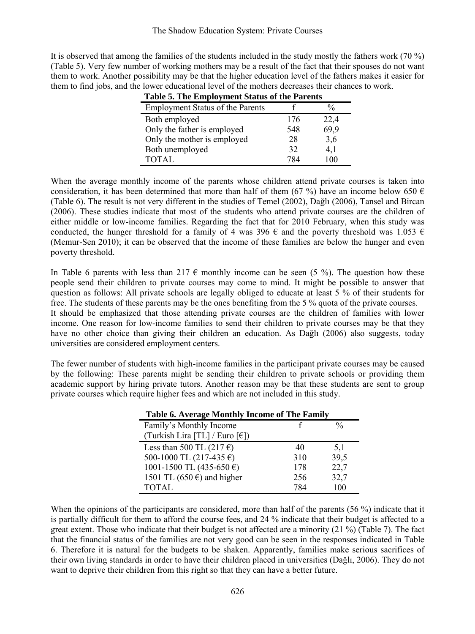It is observed that among the families of the students included in the study mostly the fathers work (70 %) (Table 5). Very few number of working mothers may be a result of the fact that their spouses do not want them to work. Another possibility may be that the higher education level of the fathers makes it easier for them to find jobs, and the lower educational level of the mothers decreases their chances to work.

| <b>Employment Status of the Parents</b> |     | $\frac{0}{0}$ |
|-----------------------------------------|-----|---------------|
| Both employed                           | 176 | 22,4          |
| Only the father is employed             | 548 | 69,9          |
| Only the mother is employed             | 28  | 3,6           |
| Both unemployed                         | 32  | 4.1           |
| <b>TOTAL</b>                            | 784 | 100           |

**Table 5. The Employment Status of the Parents** 

When the average monthly income of the parents whose children attend private courses is taken into consideration, it has been determined that more than half of them (67 %) have an income below 650  $\epsilon$ (Table 6). The result is not very different in the studies of Temel (2002), Dağlı (2006), Tansel and Bircan (2006). These studies indicate that most of the students who attend private courses are the children of either middle or low-income families. Regarding the fact that for 2010 February, when this study was conducted, the hunger threshold for a family of 4 was 396  $\epsilon$  and the poverty threshold was 1.053  $\epsilon$ (Memur-Sen 2010); it can be observed that the income of these families are below the hunger and even poverty threshold.

In Table 6 parents with less than 217  $\epsilon$  monthly income can be seen (5 %). The question how these people send their children to private courses may come to mind. It might be possible to answer that question as follows: All private schools are legally obliged to educate at least 5 % of their students for free. The students of these parents may be the ones benefiting from the 5 % quota of the private courses.

It should be emphasized that those attending private courses are the children of families with lower income. One reason for low-income families to send their children to private courses may be that they have no other choice than giving their children an education. As Dağlı (2006) also suggests, today universities are considered employment centers.

The fewer number of students with high-income families in the participant private courses may be caused by the following: These parents might be sending their children to private schools or providing them academic support by hiring private tutors. Another reason may be that these students are sent to group private courses which require higher fees and which are not included in this study.

| Table 6. Average Monthly Income of The Family |     |               |
|-----------------------------------------------|-----|---------------|
| Family's Monthly Income                       |     | $\frac{0}{0}$ |
| (Turkish Lira [TL] / Euro [€])                |     |               |
| Less than 500 TL (217 $\epsilon$ )            | 40  | 5,1           |
| 500-1000 TL (217-435 $\epsilon$ )             | 310 | 39,5          |
| 1001-1500 TL (435-650 $\epsilon$ )            | 178 | 22,7          |
| 1501 TL (650 $\epsilon$ ) and higher          | 256 | 32,7          |
| <b>TOTAL</b>                                  | 784 | 100           |

When the opinions of the participants are considered, more than half of the parents (56 %) indicate that it is partially difficult for them to afford the course fees, and 24 % indicate that their budget is affected to a great extent. Those who indicate that their budget is not affected are a minority (21 %) (Table 7). The fact that the financial status of the families are not very good can be seen in the responses indicated in Table 6. Therefore it is natural for the budgets to be shaken. Apparently, families make serious sacrifices of their own living standards in order to have their children placed in universities (Dağlı, 2006). They do not want to deprive their children from this right so that they can have a better future.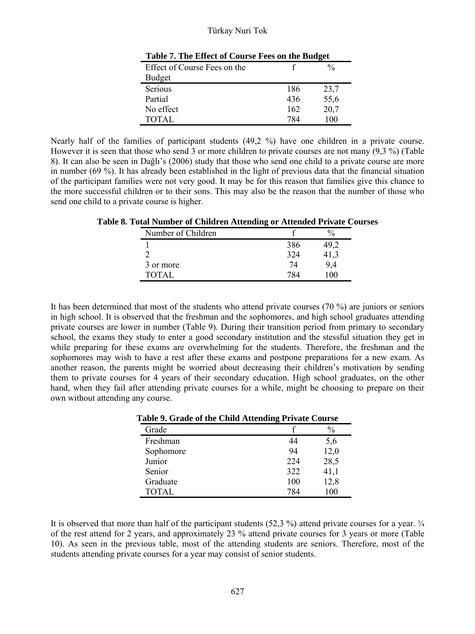| Effect of Course Fees on the |     | $\frac{0}{0}$ |
|------------------------------|-----|---------------|
| Budget                       |     |               |
| Serious                      | 186 | 23,7          |
| Partial                      | 436 | 55,6          |
| No effect                    | 162 | 20,7          |
| <b>TOTAL</b>                 | 784 | 100           |

Nearly half of the families of participant students (49,2 %) have one children in a private course. However it is seen that those who send 3 or more children to private courses are not many (9,3 %) (Table 8). It can also be seen in Dağlı's (2006) study that those who send one child to a private course are more in number (69 %). It has already been established in the light of previous data that the financial situation of the participant families were not very good. It may be for this reason that families give this chance to the more successful children or to their sons. This may also be the reason that the number of those who send one child to a private course is higher.

| Number of Children |     |  |
|--------------------|-----|--|
|                    | 386 |  |
|                    | 324 |  |
| 3 or more          | 74  |  |
| TOTAL              |     |  |

**Table 8. Total Number of Children Attending or Attended Private Courses** 

It has been determined that most of the students who attend private courses (70 %) are juniors or seniors in high school. It is observed that the freshman and the sophomores, and high school graduates attending private courses are lower in number (Table 9). During their transition period from primary to secondary school, the exams they study to enter a good secondary institution and the stessful situation they get in while preparing for these exams are overwhelming for the students. Therefore, the freshman and the sophomores may wish to have a rest after these exams and postpone preparations for a new exam. As another reason, the parents might be worried about decreasing their children's motivation by sending them to private courses for 4 years of their secondary education. High school graduates, on the other hand, when they fail after attending private courses for a while, might be choosing to prepare on their own without attending any course.

| rabic 9. Grauc of the Child Attenuing Frivale Course |     |               |
|------------------------------------------------------|-----|---------------|
| Grade                                                |     | $\frac{0}{0}$ |
| Freshman                                             | 44  | 5,6           |
| Sophomore                                            | 94  | 12,0          |
| Junior                                               | 224 | 28,5          |
| Senior                                               | 322 | 41,1          |
| Graduate                                             | 100 | 12,8          |
| <b>TOTAL</b>                                         | 784 | 100           |

**Table 9. Grade of the Child Attending Private Course** 

It is observed that more than half of the participant students (52,3 %) attend private courses for a year.  $\frac{1}{4}$ of the rest attend for 2 years, and approximately 23 % attend private courses for 3 years or more (Table 10). As seen in the previous table, most of the attending students are seniors. Therefore, most of the students attending private courses for a year may consist of senior students.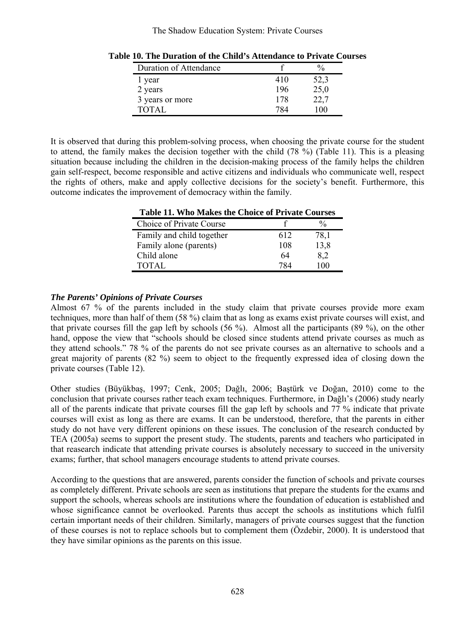#### The Shadow Education System: Private Courses

| Duration of Attendance |     | $^{0}_{0}$ |
|------------------------|-----|------------|
| l year                 | 410 | 52,3       |
| 2 years                | 196 | 25,0       |
| 3 years or more        | 178 | 22,7       |
| TOTAL                  | 784 |            |

**Table 10. The Duration of the Child's Attendance to Private Courses** 

It is observed that during this problem-solving process, when choosing the private course for the student to attend, the family makes the decision together with the child (78 %) (Table 11). This is a pleasing situation because including the children in the decision-making process of the family helps the children gain self-respect, become responsible and active citizens and individuals who communicate well, respect the rights of others, make and apply collective decisions for the society's benefit. Furthermore, this outcome indicates the improvement of democracy within the family.

| Table 11. Who Makes the Choice of Private Courses |     |               |
|---------------------------------------------------|-----|---------------|
| Choice of Private Course                          |     | $\frac{0}{0}$ |
| Family and child together                         | 612 | 78.1          |
| Family alone (parents)                            | 108 | 13,8          |
| Child alone                                       | 64  | 8,2           |
| <b>TOTAL</b>                                      | 784 | 100           |

**Table 11. Who Makes the Choice of Private Courses** 

### *The Parents' Opinions of Private Courses*

Almost 67 % of the parents included in the study claim that private courses provide more exam techniques, more than half of them (58 %) claim that as long as exams exist private courses will exist, and that private courses fill the gap left by schools  $(56 \%)$ . Almost all the participants  $(89 \%)$ , on the other hand, oppose the view that "schools should be closed since students attend private courses as much as they attend schools." 78 % of the parents do not see private courses as an alternative to schools and a great majority of parents (82 %) seem to object to the frequently expressed idea of closing down the private courses (Table 12).

Other studies (Büyükbaş, 1997; Cenk, 2005; Dağlı, 2006; Baştürk ve Doğan, 2010) come to the conclusion that private courses rather teach exam techniques. Furthermore, in Dağlı's (2006) study nearly all of the parents indicate that private courses fill the gap left by schools and 77 % indicate that private courses will exist as long as there are exams. It can be understood, therefore, that the parents in either study do not have very different opinions on these issues. The conclusion of the research conducted by TEA (2005a) seems to support the present study. The students, parents and teachers who participated in that reasearch indicate that attending private courses is absolutely necessary to succeed in the university exams; further, that school managers encourage students to attend private courses.

According to the questions that are answered, parents consider the function of schools and private courses as completely different. Private schools are seen as institutions that prepare the students for the exams and support the schools, whereas schools are institutions where the foundation of education is established and whose significance cannot be overlooked. Parents thus accept the schools as institutions which fulfil certain important needs of their children. Similarly, managers of private courses suggest that the function of these courses is not to replace schools but to complement them (Özdebir, 2000). It is understood that they have similar opinions as the parents on this issue.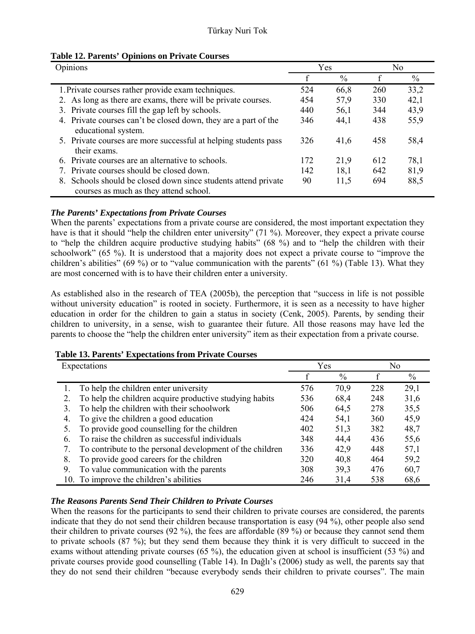| Table 12. Parents' Opinions on Private Courses |  |  |
|------------------------------------------------|--|--|
|------------------------------------------------|--|--|

| Opinions                                                                                                 |     | Yes  |     | No            |  |
|----------------------------------------------------------------------------------------------------------|-----|------|-----|---------------|--|
|                                                                                                          |     | $\%$ | f   | $\frac{0}{0}$ |  |
| 1. Private courses rather provide exam techniques.                                                       | 524 | 66,8 | 260 | 33,2          |  |
| 2. As long as there are exams, there will be private courses.                                            | 454 | 57,9 | 330 | 42,1          |  |
| 3. Private courses fill the gap left by schools.                                                         | 440 | 56,1 | 344 | 43.9          |  |
| 4. Private courses can't be closed down, they are a part of the<br>educational system.                   | 346 | 44.1 | 438 | 55,9          |  |
| 5. Private courses are more successful at helping students pass<br>their exams.                          | 326 | 41,6 | 458 | 58,4          |  |
| 6. Private courses are an alternative to schools.                                                        | 172 | 21.9 | 612 | 78,1          |  |
| 7. Private courses should be closed down.                                                                | 142 | 18.1 | 642 | 81,9          |  |
| 8. Schools should be closed down since students attend private<br>courses as much as they attend school. | 90  | 11.5 | 694 | 88,5          |  |

### *The Parents' Expectations from Private Courses*

When the parents' expectations from a private course are considered, the most important expectation they have is that it should "help the children enter university" (71 %). Moreover, they expect a private course to "help the children acquire productive studying habits" (68 %) and to "help the children with their schoolwork" (65 %). It is understood that a majority does not expect a private course to "improve the children's abilities" (69 %) or to "value communication with the parents" (61 %) (Table 13). What they are most concerned with is to have their children enter a university.

As established also in the research of TEA (2005b), the perception that "success in life is not possible without university education" is rooted in society. Furthermore, it is seen as a necessity to have higher education in order for the children to gain a status in society (Cenk, 2005). Parents, by sending their children to university, in a sense, wish to guarantee their future. All those reasons may have led the parents to choose the "help the children enter university" item as their expectation from a private course.

| Expectations                                                  |     | Yes  |     | No   |  |
|---------------------------------------------------------------|-----|------|-----|------|--|
|                                                               |     | $\%$ |     | $\%$ |  |
| To help the children enter university                         | 576 | 70.9 | 228 | 29,1 |  |
| To help the children acquire productive studying habits<br>2. | 536 | 68,4 | 248 | 31,6 |  |
| To help the children with their schoolwork<br>3.              | 506 | 64,5 | 278 | 35,5 |  |
| To give the children a good education<br>4.                   | 424 | 54,1 | 360 | 45,9 |  |
| To provide good counselling for the children<br>5.            | 402 | 51.3 | 382 | 48,7 |  |
| To raise the children as successful individuals<br>6.         | 348 | 44.4 | 436 | 55,6 |  |
| To contribute to the personal development of the children     | 336 | 42.9 | 448 | 57,1 |  |
| To provide good careers for the children<br>8.                | 320 | 40,8 | 464 | 59,2 |  |
| To value communication with the parents<br>9.                 | 308 | 39,3 | 476 | 60,7 |  |
| 10. To improve the children's abilities                       | 246 | 31.4 | 538 | 68.6 |  |

### **Table 13. Parents' Expectations from Private Courses**

### *The Reasons Parents Send Their Children to Private Courses*

When the reasons for the participants to send their children to private courses are considered, the parents indicate that they do not send their children because transportation is easy (94 %), other people also send their children to private courses (92 %), the fees are affordable (89 %) or because they cannot send them to private schools (87 %); but they send them because they think it is very difficult to succeed in the exams without attending private courses (65 %), the education given at school is insufficient (53 %) and private courses provide good counselling (Table 14). In Dağlı's (2006) study as well, the parents say that they do not send their children "because everybody sends their children to private courses". The main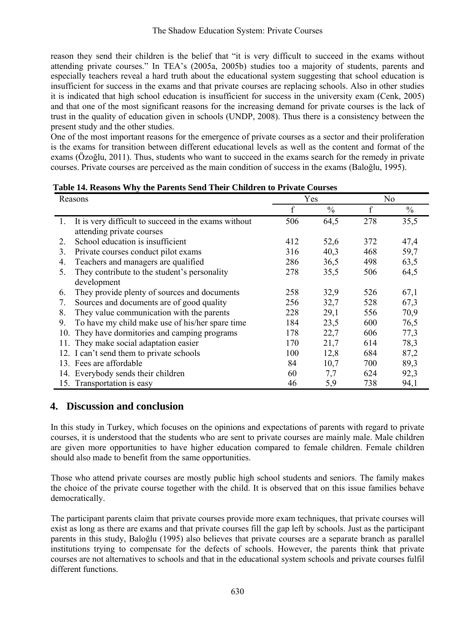reason they send their children is the belief that "it is very difficult to succeed in the exams without attending private courses." In TEA's (2005a, 2005b) studies too a majority of students, parents and especially teachers reveal a hard truth about the educational system suggesting that school education is insufficient for success in the exams and that private courses are replacing schools. Also in other studies it is indicated that high school education is insufficient for success in the university exam (Cenk, 2005) and that one of the most significant reasons for the increasing demand for private courses is the lack of trust in the quality of education given in schools (UNDP, 2008). Thus there is a consistency between the present study and the other studies.

One of the most important reasons for the emergence of private courses as a sector and their proliferation is the exams for transition between different educational levels as well as the content and format of the exams (Özoğlu, 2011). Thus, students who want to succeed in the exams search for the remedy in private courses. Private courses are perceived as the main condition of success in the exams (Baloğlu, 1995).

| Reasons |                                                                                   | Yes         |               | No  |               |
|---------|-----------------------------------------------------------------------------------|-------------|---------------|-----|---------------|
|         |                                                                                   | $\mathbf f$ | $\frac{0}{0}$ | f   | $\frac{0}{0}$ |
|         | It is very difficult to succeed in the exams without<br>attending private courses | 506         | 64,5          | 278 | 35,5          |
| 2.      | School education is insufficient                                                  | 412         | 52,6          | 372 | 47,4          |
| 3.      | Private courses conduct pilot exams                                               | 316         | 40,3          | 468 | 59,7          |
| 4.      | Teachers and managers are qualified                                               | 286         | 36,5          | 498 | 63,5          |
| 5.      | They contribute to the student's personality                                      | 278         | 35,5          | 506 | 64,5          |
|         | development                                                                       |             |               |     |               |
| 6.      | They provide plenty of sources and documents                                      | 258         | 32,9          | 526 | 67,1          |
| 7.      | Sources and documents are of good quality                                         | 256         | 32,7          | 528 | 67,3          |
| 8.      | They value communication with the parents                                         | 228         | 29,1          | 556 | 70,9          |
| 9.      | To have my child make use of his/her spare time                                   | 184         | 23,5          | 600 | 76,5          |
|         | 10. They have dormitories and camping programs                                    | 178         | 22,7          | 606 | 77,3          |
|         | 11. They make social adaptation easier                                            | 170         | 21,7          | 614 | 78,3          |
|         | 12. I can't send them to private schools                                          | 100         | 12,8          | 684 | 87,2          |
|         | 13. Fees are affordable                                                           | 84          | 10,7          | 700 | 89,3          |
|         | 14. Everybody sends their children                                                | 60          | 7,7           | 624 | 92,3          |
|         | 15. Transportation is easy                                                        | 46          | 5,9           | 738 | 94,1          |

# **4. Discussion and conclusion**

In this study in Turkey, which focuses on the opinions and expectations of parents with regard to private courses, it is understood that the students who are sent to private courses are mainly male. Male children are given more opportunities to have higher education compared to female children. Female children should also made to benefit from the same opportunities.

Those who attend private courses are mostly public high school students and seniors. The family makes the choice of the private course together with the child. It is observed that on this issue families behave democratically.

The participant parents claim that private courses provide more exam techniques, that private courses will exist as long as there are exams and that private courses fill the gap left by schools. Just as the participant parents in this study, Baloğlu (1995) also believes that private courses are a separate branch as parallel institutions trying to compensate for the defects of schools. However, the parents think that private courses are not alternatives to schools and that in the educational system schools and private courses fulfil different functions.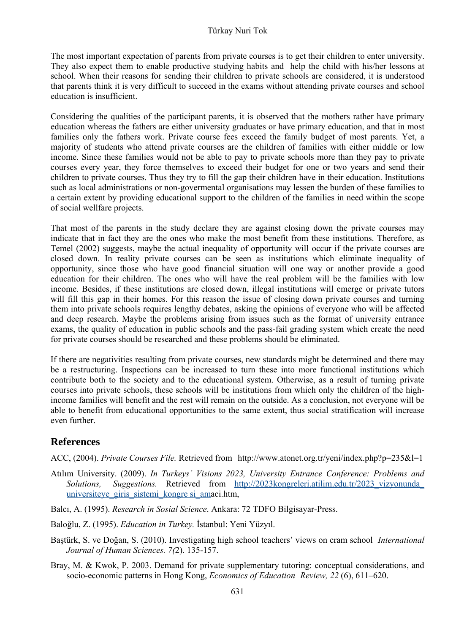The most important expectation of parents from private courses is to get their children to enter university. They also expect them to enable productive studying habits and help the child with his/her lessons at school. When their reasons for sending their children to private schools are considered, it is understood that parents think it is very difficult to succeed in the exams without attending private courses and school education is insufficient.

Considering the qualities of the participant parents, it is observed that the mothers rather have primary education whereas the fathers are either university graduates or have primary education, and that in most families only the fathers work. Private course fees exceed the family budget of most parents. Yet, a majority of students who attend private courses are the children of families with either middle or low income. Since these families would not be able to pay to private schools more than they pay to private courses every year, they force themselves to exceed their budget for one or two years and send their children to private courses. Thus they try to fill the gap their children have in their education. Institutions such as local administrations or non-govermental organisations may lessen the burden of these families to a certain extent by providing educational support to the children of the families in need within the scope of social wellfare projects.

That most of the parents in the study declare they are against closing down the private courses may indicate that in fact they are the ones who make the most benefit from these institutions. Therefore, as Temel (2002) suggests, maybe the actual inequality of opportunity will occur if the private courses are closed down. In reality private courses can be seen as institutions which eliminate inequality of opportunity, since those who have good financial situation will one way or another provide a good education for their children. The ones who will have the real problem will be the families with low income. Besides, if these institutions are closed down, illegal institutions will emerge or private tutors will fill this gap in their homes. For this reason the issue of closing down private courses and turning them into private schools requires lengthy debates, asking the opinions of everyone who will be affected and deep research. Maybe the problems arising from issues such as the format of university entrance exams, the quality of education in public schools and the pass-fail grading system which create the need for private courses should be researched and these problems should be eliminated.

If there are negativities resulting from private courses, new standards might be determined and there may be a restructuring. Inspections can be increased to turn these into more functional institutions which contribute both to the society and to the educational system. Otherwise, as a result of turning private courses into private schools, these schools will be institutions from which only the children of the highincome families will benefit and the rest will remain on the outside. As a conclusion, not everyone will be able to benefit from educational opportunities to the same extent, thus social stratification will increase even further.

### **References**

ACC, (2004). *Private Courses File.* Retrieved from http://www.atonet.org.tr/yeni/index.php?p=235&l=1

- Atılım University. (2009). *In Turkeys' Visions 2023, University Entrance Conference: Problems and Solutions, Suggestions.* Retrieved from http://2023kongreleri.atilim.edu.tr/2023\_vizyonunda\_ universiteye\_giris\_sistemi\_kongre si\_amaci.htm,
- Balcı, A. (1995). *Research in Sosial Science*. Ankara: 72 TDFO Bilgisayar-Press.
- Baloğlu, Z. (1995). *Education in Turkey.* İstanbul: Yeni Yüzyıl.
- Baştürk, S. ve Doğan, S. (2010). Investigating high school teachers' views on cram school *International Journal of Human Sciences. 7(*2). 135-157.
- Bray, M. & Kwok, P. 2003. Demand for private supplementary tutoring: conceptual considerations, and socio-economic patterns in Hong Kong, *Economics of Education Review, 22* (6), 611–620.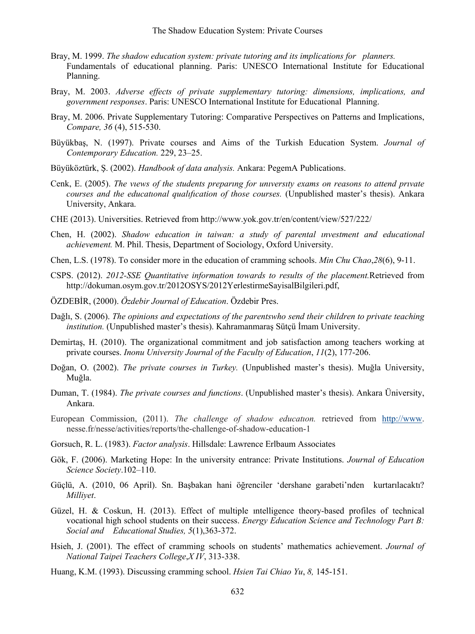- Bray, M. 1999. *The shadow education system: private tutoring and its implications for planners.* Fundamentals of educational planning. Paris: UNESCO International Institute for Educational Planning.
- Bray, M. 2003. *Adverse effects of private supplementary tutoring: dimensions, implications, and government responses*. Paris: UNESCO International Institute for Educational Planning.
- Bray, M. 2006. Private Supplementary Tutoring: Comparative Perspectives on Patterns and Implications, *Compare, 36* (4), 515-530.
- Büyükbaş, N. (1997). Private courses and Aims of the Turkish Education System. *Journal of Contemporary Education.* 229, 23–25.
- Büyüköztürk, Ş. (2002). *Handbook of data analysis.* Ankara: PegemA Publications.
- Cenk, E. (2005). *The vıews of the students preparıng for unıversıty exams on reasons to attend prıvate courses and the educatıonal qualıfıcation of those courses.* (Unpublished master's thesis). Ankara University, Ankara.
- CHE (2013). Universities. Retrieved from http://www.yok.gov.tr/en/content/view/527/222/
- Chen, H. (2002). *Shadow education in taiwan: a study of parental ınvestment and educational achievement.* M. Phil. Thesis, Department of Sociology, Oxford University.
- Chen, L.S. (1978). To consider more in the education of cramming schools. *Min Chu Chao*,*28*(6), 9-11.
- CSPS. (2012). *2012-SSE Quantitative information towards to results of the placement.*Retrieved from http://dokuman.osym.gov.tr/2012OSYS/2012YerlestirmeSayisalBilgileri.pdf,
- ÖZDEBİR, (2000). *Özdebir Journal of Education*. Özdebir Pres.
- Dağlı, S. (2006). *The opinions and expectations of the parentswho send their children to private teaching institution.* (Unpublished master's thesis). Kahramanmaraş Sütçü İmam University.
- Demirtaş, H. (2010). The organizational commitment and job satisfaction among teachers working at private courses. *Inonu University Journal of the Faculty of Education*, *11*(2), 177-206.
- Doğan, O. (2002). *The private courses in Turkey.* (Unpublished master's thesis). Muğla University, Muğla.
- Duman, T. (1984). *The private courses and functions*. (Unpublished master's thesis). Ankara Üniversity, Ankara.
- European Commission, (2011). *The challenge of shadow educatıon.* retrieved from http://www. nesse.fr/nesse/activities/reports/the-challenge-of-shadow-education-1
- Gorsuch, R. L. (1983). *Factor analysis*. Hillsdale: Lawrence Erlbaum Associates
- Gök, F. (2006). Marketing Hope: In the university entrance: Private Institutions. *Journal of Education Science Society*.102–110.
- Güçlü, A. (2010, 06 April). Sn. Başbakan hani öğrenciler 'dershane garabeti'nden kurtarılacaktı? *Milliyet*.
- Güzel, H. & Coskun, H. (2013). Effect of multiple ıntelligence theory-based profiles of technical vocational high school students on their success. *Energy Education Science and Technology Part B: Social and Educational Studies, 5*(1),363-372.
- Hsieh, J. (2001). The effect of cramming schools on students' mathematics achievement. *Journal of National Taipei Teachers College*,*X IV*, 313-338.
- Huang, K.M. (1993). Discussing cramming school. *Hsien Tai Chiao Yu*, *8,* 145-151.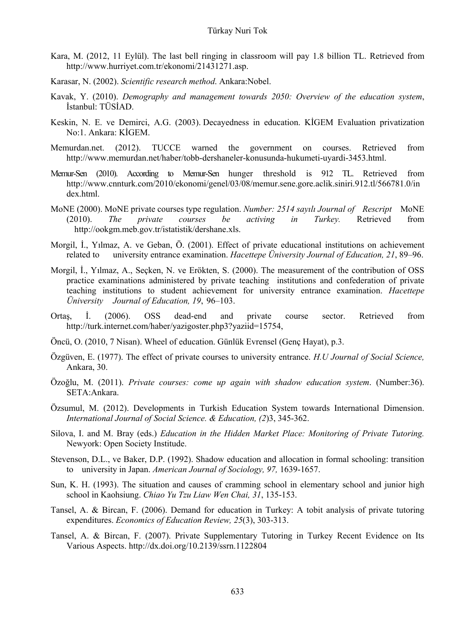- Kara, M. (2012, 11 Eylül). The last bell ringing in classroom will pay 1.8 billion TL. Retrieved from http://www.hurriyet.com.tr/ekonomi/21431271.asp.
- Karasar, N. (2002). *Scientific research method*. Ankara:Nobel.
- Kavak, Y. (2010). *Demography and management towards 2050: Overview of the education system*, İstanbul: TÜSİAD.
- Keskin, N. E. ve Demirci, A.G. (2003). Decayedness in education. KİGEM Evaluation privatization No:1. Ankara: KİGEM.
- Memurdan.net. (2012). TUCCE warned the government on courses. Retrieved from http://www.memurdan.net/haber/tobb-dershaneler-konusunda-hukumeti-uyardi-3453.html.
- Memur-Sen (2010). According to Memur-Sen hunger threshold is 912 TL. Retrieved from http://www.cnnturk.com/2010/ekonomi/genel/03/08/memur.sene.gore.aclik.siniri.912.tl/566781.0/in dex.html.
- MoNE (2000). MoNE private courses type regulation. *Number: 2514 sayılı Journal of Rescript* MoNE (2010). *The private courses be activing in Turkey.* Retrieved from http://ookgm.meb.gov.tr/istatistik/dershane.xls.
- Morgil, İ., Yılmaz, A. ve Geban, Ö. (2001). Effect of private educational institutions on achievement related to university entrance examination. *Hacettepe Üniversity Journal of Education, 21*, 89–96.
- Morgil, İ., Yılmaz, A., Seçken, N. ve Erökten, S. (2000). The measurement of the contribution of OSS practice examinations administered by private teaching institutions and confederation of private teaching institutions to student achievement for university entrance examination. *Hacettepe Üniversity Journal of Education, 19*, 96–103.
- Ortaş, İ. (2006). OSS dead-end and private course sector. Retrieved from http://turk.internet.com/haber/yazigoster.php3?yaziid=15754,
- Öncü, O. (2010, 7 Nisan). Wheel of education. Günlük Evrensel (Genç Hayat), p.3.
- Özgüven, E. (1977). The effect of private courses to university entrance. *H.U Journal of Social Science,* Ankara, 30.
- Özoğlu, M. (2011). *Private courses: come up again with shadow education system*. (Number:36). SETA:Ankara.
- Özsumul, M. (2012). Developments in Turkish Education System towards International Dimension. *International Journal of Social Science. & Education, (2*)3, 345-362.
- Silova, I. and M. Bray (eds.) *Education in the Hidden Market Place: Monitoring of Private Tutoring.*  Newyork: Open Society Institude.
- Stevenson, D.L., ve Baker, D.P. (1992). Shadow education and allocation in formal schooling: transition to university in Japan. *American Journal of Sociology, 97,* 1639-1657.
- Sun, K. H. (1993). The situation and causes of cramming school in elementary school and junior high school in Kaohsiung. *Chiao Yu Tzu Liaw Wen Chai, 31*, 135-153.
- Tansel, A. & Bircan, F. (2006). Demand for education in Turkey: A tobit analysis of private tutoring expenditures. *Economics of Education Review, 25*(3), 303-313.
- Tansel, A. & Bircan, F. (2007). Private Supplementary Tutoring in Turkey Recent Evidence on Its Various Aspects. http://dx.doi.org/10.2139/ssrn.1122804